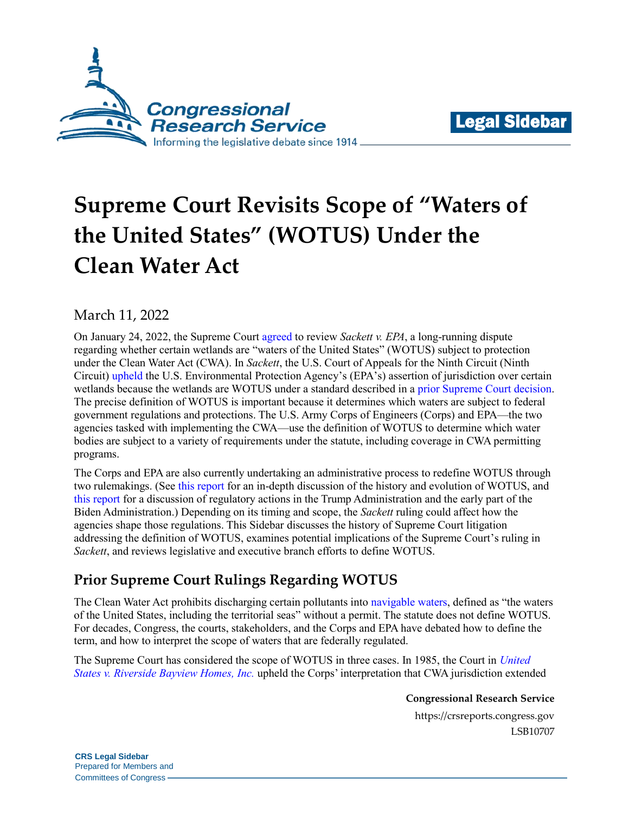



# **Supreme Court Revisits Scope of "Waters of the United States" (WOTUS) Under the Clean Water Act**

## March 11, 2022

On January 24, 2022, the Supreme Court [agreed](https://www.supremecourt.gov/orders/courtorders/012422zor_m6io.pdf#page=3) to review *Sackett v. EPA*, a long-running dispute regarding whether certain wetlands are "waters of the United States" (WOTUS) subject to protection under the Clean Water Act (CWA). In *Sackett*, the U.S. Court of Appeals for the Ninth Circuit (Ninth Circuit) [upheld](http://cdn.ca9.uscourts.gov/datastore/opinions/2021/08/16/19-35469.pdf) the U.S. Environmental Protection Agency's (EPA's) assertion of jurisdiction over certain wetlands because the wetlands are WOTUS under a standard described in a [prior Supreme Court decision.](https://www.supremecourt.gov/opinions/boundvolumes/547bv.pdf#page=861) The precise definition of WOTUS is important because it determines which waters are subject to federal government regulations and protections. The U.S. Army Corps of Engineers (Corps) and EPA—the two agencies tasked with implementing the CWA—use the definition of WOTUS to determine which water bodies are subject to a variety of requirements under the statute, including coverage in CWA permitting programs.

The Corps and EPA are also currently undertaking an administrative process to redefine WOTUS through two rulemakings. (See [this report](https://crsreports.congress.gov/product/pdf/R/R44585) for an in-depth discussion of the history and evolution of WOTUS, and [this report](https://crsreports.congress.gov/product/pdf/R/R46927) for a discussion of regulatory actions in the Trump Administration and the early part of the Biden Administration.) Depending on its timing and scope, the *Sackett* ruling could affect how the agencies shape those regulations. This Sidebar discusses the history of Supreme Court litigation addressing the definition of WOTUS, examines potential implications of the Supreme Court's ruling in *Sackett*, and reviews legislative and executive branch efforts to define WOTUS.

## **Prior Supreme Court Rulings Regarding WOTUS**

The Clean Water Act prohibits discharging certain pollutants into [navigable waters,](https://www.govinfo.gov/content/pkg/USCODE-2010-title33/pdf/USCODE-2010-title33-chap26-subchapV-sec1362.pdf) defined as "the waters of the United States, including the territorial seas" without a permit. The statute does not define WOTUS. For decades, Congress, the courts, stakeholders, and the Corps and EPA have debated how to define the term, and how to interpret the scope of waters that are federally regulated.

The Supreme Court has considered the scope of WOTUS in three cases. In 1985, the Court in *[United](https://tile.loc.gov/storage-services/service/ll/usrep/usrep474/usrep474121/usrep474121.pdf)  [States v. Riverside Bayview Homes,](https://tile.loc.gov/storage-services/service/ll/usrep/usrep474/usrep474121/usrep474121.pdf) Inc.* upheld the Corps' interpretation that CWA jurisdiction extended

**Congressional Research Service**

https://crsreports.congress.gov LSB10707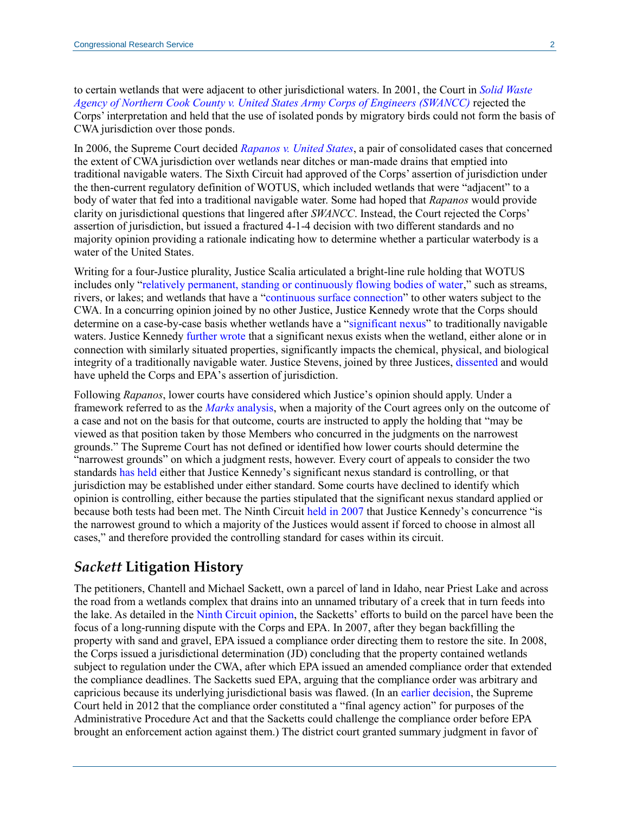to certain wetlands that were adjacent to other jurisdictional waters. In 2001, the Court in *[Solid Waste](https://tile.loc.gov/storage-services/service/ll/usrep/usrep531/usrep531159/usrep531159.pdf)  [Agency of Northern Cook County v. United States Army Corps of Engineers \(SWANCC\)](https://tile.loc.gov/storage-services/service/ll/usrep/usrep531/usrep531159/usrep531159.pdf)* rejected the Corps' interpretation and held that the use of isolated ponds by migratory birds could not form the basis of CWA jurisdiction over those ponds.

In 2006, the Supreme Court decided *[Rapanos v. United States](https://www.supremecourt.gov/opinions/boundvolumes/547bv.pdf#page=861)*, a pair of consolidated cases that concerned the extent of CWA jurisdiction over wetlands near ditches or man-made drains that emptied into traditional navigable waters. The Sixth Circuit had approved of the Corps' assertion of jurisdiction under the then-current regulatory definition of WOTUS, which included wetlands that were "adjacent" to a body of water that fed into a traditional navigable water. Some had hoped that *Rapanos* would provide clarity on jurisdictional questions that lingered after *SWANCC*. Instead, the Court rejected the Corps' assertion of jurisdiction, but issued a fractured 4-1-4 decision with two different standards and no majority opinion providing a rationale indicating how to determine whether a particular waterbody is a water of the United States.

Writing for a four-Justice plurality, Justice Scalia articulated a bright-line rule holding that WOTUS includes only ["relatively permanent, standing or continuously flowing bodies of water,](https://www.supremecourt.gov/opinions/boundvolumes/547bv.pdf#page=885)" such as streams, rivers, or lakes; and wetlands that have a ["continuous surface connection"](https://www.supremecourt.gov/opinions/boundvolumes/547bv.pdf#page=888) to other waters subject to the CWA. In a concurring opinion joined by no other Justice, Justice Kennedy wrote that the Corps should determine on a case-by-case basis whether wetlands have a ["significant nexus"](https://www.supremecourt.gov/opinions/boundvolumes/547bv.pdf#page=928) to traditionally navigable waters. Justice Kennedy [further wrote](https://www.supremecourt.gov/opinions/boundvolumes/547bv.pdf#page=926) that a significant nexus exists when the wetland, either alone or in connection with similarly situated properties, significantly impacts the chemical, physical, and biological integrity of a traditionally navigable water. Justice Stevens, joined by three Justices, [dissented](https://www.supremecourt.gov/opinions/boundvolumes/547bv.pdf#page=933) and would have upheld the Corps and EPA's assertion of jurisdiction.

Following *Rapanos*, lower courts have considered which Justice's opinion should apply. Under a framework referred to as the *Marks* [analysis,](https://tile.loc.gov/storage-services/service/ll/usrep/usrep430/usrep430188/usrep430188.pdf#page=6) when a majority of the Court agrees only on the outcome of a case and not on the basis for that outcome, courts are instructed to apply the holding that "may be viewed as that position taken by those Members who concurred in the judgments on the narrowest grounds." The Supreme Court has not defined or identified how lower courts should determine the "narrowest grounds" on which a judgment rests, however. Every court of appeals to consider the two standards [has held](https://harvardelr.com/2018/04/07/2642/#_ftnref64) either that Justice Kennedy's significant nexus standard is controlling, or that jurisdiction may be established under either standard. Some courts have declined to identify which opinion is controlling, either because the parties stipulated that the significant nexus standard applied or because both tests had been met. The Ninth Circuit [held in 2007](http://cdn.ca9.uscourts.gov/datastore/opinions/2007/08/06/0415442.pdf#page=11) that Justice Kennedy's concurrence "is the narrowest ground to which a majority of the Justices would assent if forced to choose in almost all cases," and therefore provided the controlling standard for cases within its circuit.

## *Sackett* **Litigation History**

The petitioners, Chantell and Michael Sackett, own a parcel of land in Idaho, near Priest Lake and across the road from a wetlands complex that drains into an unnamed tributary of a creek that in turn feeds into the lake. As detailed in the [Ninth Circuit opinion,](http://cdn.ca9.uscourts.gov/datastore/opinions/2021/08/16/19-35469.pdf#page=8) the Sacketts' efforts to build on the parcel have been the focus of a long-running dispute with the Corps and EPA. In 2007, after they began backfilling the property with sand and gravel, EPA issued a compliance order directing them to restore the site. In 2008, the Corps issued a jurisdictional determination (JD) concluding that the property contained wetlands subject to regulation under the CWA, after which EPA issued an amended compliance order that extended the compliance deadlines. The Sacketts sued EPA, arguing that the compliance order was arbitrary and capricious because its underlying jurisdictional basis was flawed. (In an [earlier decision,](https://www.supremecourt.gov/opinions/boundvolumes/566BV.pdf#page=199) the Supreme Court held in 2012 that the compliance order constituted a "final agency action" for purposes of the Administrative Procedure Act and that the Sacketts could challenge the compliance order before EPA brought an enforcement action against them.) The district court granted summary judgment in favor of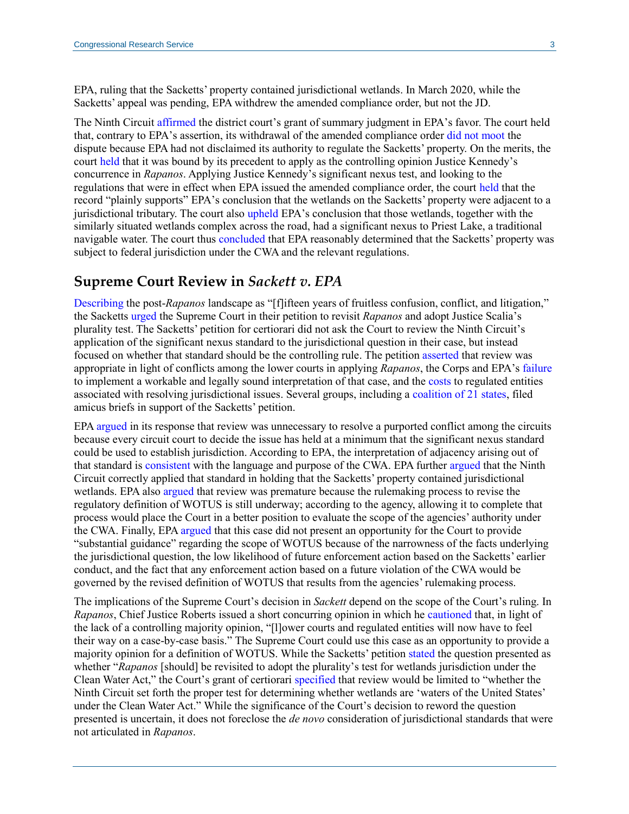EPA, ruling that the Sacketts' property contained jurisdictional wetlands. In March 2020, while the Sacketts' appeal was pending, EPA withdrew the amended compliance order, but not the JD.

The Ninth Circuit [affirmed](http://cdn.ca9.uscourts.gov/datastore/opinions/2021/08/16/19-35469.pdf#page=33) the district court's grant of summary judgment in EPA's favor. The court held that, contrary to EPA's assertion, its withdrawal of the amended compliance order [did not moot](http://cdn.ca9.uscourts.gov/datastore/opinions/2021/08/16/19-35469.pdf#page=14) the dispute because EPA had not disclaimed its authority to regulate the Sacketts' property. On the merits, the court [held](http://cdn.ca9.uscourts.gov/datastore/opinions/2021/08/16/19-35469.pdf#page=28) that it was bound by its precedent to apply as the controlling opinion Justice Kennedy's concurrence in *Rapanos*. Applying Justice Kennedy's significant nexus test, and looking to the regulations that were in effect when EPA issued the amended compliance order, the court [held](http://cdn.ca9.uscourts.gov/datastore/opinions/2021/08/16/19-35469.pdf#page=30) that the record "plainly supports" EPA's conclusion that the wetlands on the Sacketts' property were adjacent to a jurisdictional tributary. The court also [upheld](http://cdn.ca9.uscourts.gov/datastore/opinions/2021/08/16/19-35469.pdf#page=32) EPA's conclusion that those wetlands, together with the similarly situated wetlands complex across the road, had a significant nexus to Priest Lake, a traditional navigable water. The court thus [concluded](http://cdn.ca9.uscourts.gov/datastore/opinions/2021/08/16/19-35469.pdf#page=33) that EPA reasonably determined that the Sacketts' property was subject to federal jurisdiction under the CWA and the relevant regulations.

#### **Supreme Court Review in** *Sackett v. EPA*

[Describing](https://www.supremecourt.gov/DocketPDF/21/21-454/193450/20210922172208802_2021.09.22%20-%20Sackett%20Cert%20Petition.pdf#page=20) the post-*Rapanos* landscape as "[f]ifteen years of fruitless confusion, conflict, and litigation," the Sacketts [urged](https://www.supremecourt.gov/DocketPDF/21/21-454/193450/20210922172208802_2021.09.22%20-%20Sackett%20Cert%20Petition.pdf#page=2) the Supreme Court in their petition to revisit *Rapanos* and adopt Justice Scalia's plurality test. The Sacketts' petition for certiorari did not ask the Court to review the Ninth Circuit's application of the significant nexus standard to the jurisdictional question in their case, but instead focused on whether that standard should be the controlling rule. The petition [asserted](https://www.supremecourt.gov/DocketPDF/21/21-454/193450/20210922172208802_2021.09.22%20-%20Sackett%20Cert%20Petition.pdf#page=31) that review was appropriate in light of conflicts among the lower courts in applying *Rapanos*, the Corps and EPA's [failure](https://www.supremecourt.gov/DocketPDF/21/21-454/193450/20210922172208802_2021.09.22%20-%20Sackett%20Cert%20Petition.pdf#page=35) to implement a workable and legally sound interpretation of that case, and the [costs](https://www.supremecourt.gov/DocketPDF/21/21-454/193450/20210922172208802_2021.09.22%20-%20Sackett%20Cert%20Petition.pdf#page=38) to regulated entities associated with resolving jurisdictional issues. Several groups, including a [coalition of 21 states,](https://www.supremecourt.gov/DocketPDF/21/21-454/197481/20211025150532278_2021-10-25%20Brief%20of%20Amici%20Curiae%20States%20of%20WV%20and%2020%20Other%20States%20ISO%20Petitioner.PDF) filed amicus briefs in support of the Sacketts' petition.

EPA [argued](https://www.supremecourt.gov/DocketPDF/21/21-454/201324/20211124133353006_21-454%20Sackett%20Opp.%20-%20final.pdf#page=16) in its response that review was unnecessary to resolve a purported conflict among the circuits because every circuit court to decide the issue has held at a minimum that the significant nexus standard could be used to establish jurisdiction. According to EPA, the interpretation of adjacency arising out of that standard is [consistent](https://www.supremecourt.gov/DocketPDF/21/21-454/201324/20211124133353006_21-454%20Sackett%20Opp.%20-%20final.pdf#page=20) with the language and purpose of the CWA. EPA further [argued](https://www.supremecourt.gov/DocketPDF/21/21-454/201324/20211124133353006_21-454%20Sackett%20Opp.%20-%20final.pdf#page=18) that the Ninth Circuit correctly applied that standard in holding that the Sacketts' property contained jurisdictional wetlands. EPA also [argued](https://www.supremecourt.gov/DocketPDF/21/21-454/201324/20211124133353006_21-454%20Sackett%20Opp.%20-%20final.pdf#page=23) that review was premature because the rulemaking process to revise the regulatory definition of WOTUS is still underway; according to the agency, allowing it to complete that process would place the Court in a better position to evaluate the scope of the agencies' authority under the CWA. Finally, EPA [argued](https://www.supremecourt.gov/DocketPDF/21/21-454/201324/20211124133353006_21-454%20Sackett%20Opp.%20-%20final.pdf#page=27) that this case did not present an opportunity for the Court to provide "substantial guidance" regarding the scope of WOTUS because of the narrowness of the facts underlying the jurisdictional question, the low likelihood of future enforcement action based on the Sacketts' earlier conduct, and the fact that any enforcement action based on a future violation of the CWA would be governed by the revised definition of WOTUS that results from the agencies' rulemaking process.

The implications of the Supreme Court's decision in *Sackett* depend on the scope of the Court's ruling. In *Rapanos*, Chief Justice Roberts issued a short concurring opinion in which he [cautioned](https://www.supremecourt.gov/opinions/boundvolumes/547bv.pdf#page=904) that, in light of the lack of a controlling majority opinion, "[l]ower courts and regulated entities will now have to feel their way on a case-by-case basis." The Supreme Court could use this case as an opportunity to provide a majority opinion for a definition of WOTUS. While the Sacketts' petitio[n stated](https://www.supremecourt.gov/DocketPDF/21/21-454/193450/20210922172208802_2021.09.22%20-%20Sackett%20Cert%20Petition.pdf#page=2) the question presented as whether "*Rapanos* [should] be revisited to adopt the plurality's test for wetlands jurisdiction under the Clean Water Act," the Court's grant of certiorari [specified](https://www.supremecourt.gov/orders/courtorders/012422zor_m6io.pdf#page=3) that review would be limited to "whether the Ninth Circuit set forth the proper test for determining whether wetlands are 'waters of the United States' under the Clean Water Act." While the significance of the Court's decision to reword the question presented is uncertain, it does not foreclose the *de novo* consideration of jurisdictional standards that were not articulated in *Rapanos*.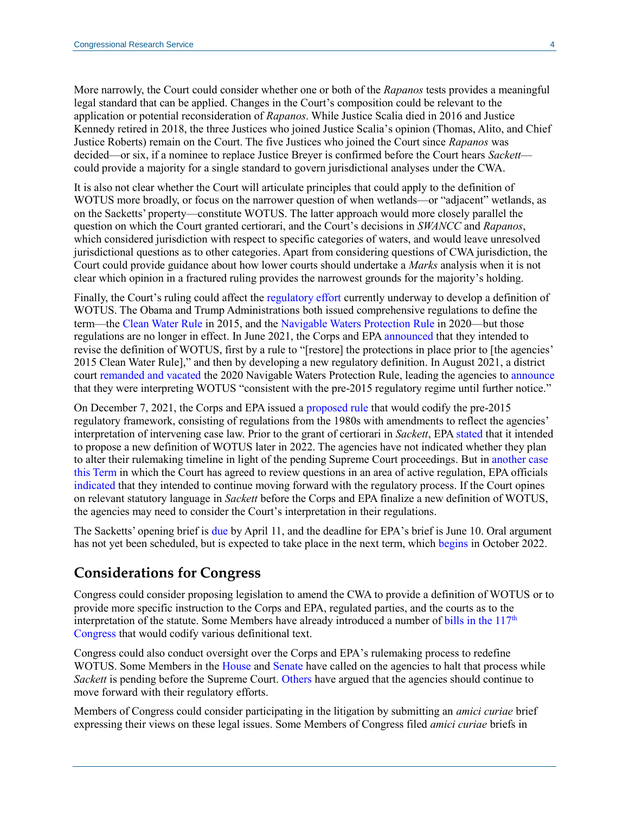More narrowly, the Court could consider whether one or both of the *Rapanos* tests provides a meaningful legal standard that can be applied. Changes in the Court's composition could be relevant to the application or potential reconsideration of *Rapanos*. While Justice Scalia died in 2016 and Justice Kennedy retired in 2018, the three Justices who joined Justice Scalia's opinion (Thomas, Alito, and Chief Justice Roberts) remain on the Court. The five Justices who joined the Court since *Rapanos* was decided—or six, if a nominee to replace Justice Breyer is confirmed before the Court hears *Sackett* could provide a majority for a single standard to govern jurisdictional analyses under the CWA.

It is also not clear whether the Court will articulate principles that could apply to the definition of WOTUS more broadly, or focus on the narrower question of when wetlands—or "adjacent" wetlands, as on the Sacketts' property—constitute WOTUS. The latter approach would more closely parallel the question on which the Court granted certiorari, and the Court's decisions in *SWANCC* and *Rapanos*, which considered jurisdiction with respect to specific categories of waters, and would leave unresolved jurisdictional questions as to other categories. Apart from considering questions of CWA jurisdiction, the Court could provide guidance about how lower courts should undertake a *Marks* analysis when it is not clear which opinion in a fractured ruling provides the narrowest grounds for the majority's holding.

Finally, the Court's ruling could affect the [regulatory effort](https://crsreports.congress.gov/product/pdf/R/R46927) currently underway to develop a definition of WOTUS. The Obama and Trump Administrations both issued comprehensive regulations to define the term—the [Clean Water Rule](https://www.federalregister.gov/documents/2015/06/29/2015-13435/clean-water-rule-definition-of-waters-of-the-united-states) in 2015, and the [Navigable Waters Protection Rule](https://www.federalregister.gov/documents/2020/04/21/2020-02500/the-navigable-waters-protection-rule-definition-of-waters-of-the-united-states) in 2020—but those regulations are no longer in effect. In June 2021, the Corps and EP[A announced](https://www.epa.gov/newsreleases/epa-army-announce-intent-revise-definition-wotus) that they intended to revise the definition of WOTUS, first by a rule to "[restore] the protections in place prior to [the agencies' 2015 Clean Water Rule]," and then by developing a new regulatory definition. In August 2021, a district court [remanded and vacated](https://www.govinfo.gov/content/pkg/USCOURTS-azd-4_20-cv-00266/pdf/USCOURTS-azd-4_20-cv-00266-0.pdf) the 2020 Navigable Waters Protection Rule, leading the agencies t[o announce](https://www.epa.gov/wotus/current-implementation-waters-united-states) that they were interpreting WOTUS "consistent with the pre-2015 regulatory regime until further notice."

On December 7, 2021, the Corps and EPA issued a [proposed rule](https://www.federalregister.gov/documents/2021/12/07/2021-25601/revised-definition-of-waters-of-the-united-states) that would codify the pre-2015 regulatory framework, consisting of regulations from the 1980s with amendments to reflect the agencies' interpretation of intervening case law. Prior to the grant of certiorari in *Sackett*, EP[A stated](https://www.eenews.net/articles/epa-new-wotus-definition-coming-later-this-year/) that it intended to propose a new definition of WOTUS later in 2022. The agencies have not indicated whether they plan to alter their rulemaking timeline in light of the pending Supreme Court proceedings. But in [another case](https://crsreports.congress.gov/product/pdf/LSB/LSB10666)  [this Term](https://crsreports.congress.gov/product/pdf/LSB/LSB10666) in which the Court has agreed to review questions in an area of active regulation, EPA officials [indicated](https://twitter.com/EPAMichaelRegan/status/1454197954517086212) that they intended to continue moving forward with the regulatory process. If the Court opines on relevant statutory language in *Sackett* before the Corps and EPA finalize a new definition of WOTUS, the agencies may need to consider the Court's interpretation in their regulations.

The Sacketts' opening brief is [due](https://www.supremecourt.gov/search.aspx?filename=/docket/docketfiles/html/public/21-454.html) by April 11, and the deadline for EPA's brief is June 10. Oral argument has not yet been scheduled, but is expected to take place in the next term, which [begins](https://www.supremecourt.gov/about/procedures.aspx) in October 2022.

## **Considerations for Congress**

Congress could consider proposing legislation to amend the CWA to provide a definition of WOTUS or to provide more specific instruction to the Corps and EPA, regulated parties, and the courts as to the interpretation of the statute. Some Members have already introduced a number of bills in the  $117<sup>th</sup>$ [Congress](https://crsreports.congress.gov/product/pdf/R/R46927#_Toc83982027) that would codify various definitional text.

Congress could also conduct oversight over the Corps and EPA's rulemaking process to redefine WOTUS. Some Members in the [House](https://republicans-transportation.house.gov/news/documentsingle.aspx?DocumentID=405754) an[d Senate](https://www.thune.senate.gov/public/_cache/files/803159cd-9c1d-408f-8792-f9c9c5e17c2b/F31E12D280B1BDAA0E837DBC45A74EDB.senate-republicans-wotus-comment-letter.pdf) have called on the agencies to halt that process while *Sackett* is pending before the Supreme Court. [Others](https://twitter.com/RepPeterDeFazio/status/1486012007920934924) have argued that the agencies should continue to move forward with their regulatory efforts.

Members of Congress could consider participating in the litigation by submitting an *amici curiae* brief expressing their views on these legal issues. Some Members of Congress filed *amici curiae* briefs in